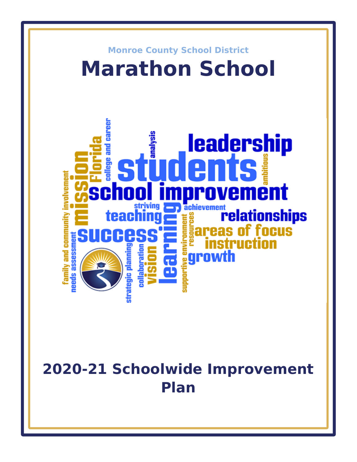

# **2020-21 Schoolwide Improvement Plan**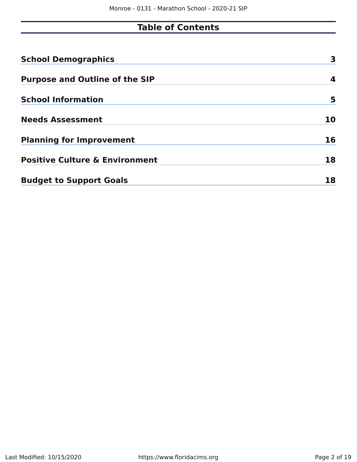# **Table of Contents**

| <b>School Demographics</b>                | 3  |
|-------------------------------------------|----|
| <b>Purpose and Outline of the SIP</b>     | 4  |
| <b>School Information</b>                 | 5  |
| <b>Needs Assessment</b>                   | 10 |
| <b>Planning for Improvement</b>           | 16 |
| <b>Positive Culture &amp; Environment</b> | 18 |
| <b>Budget to Support Goals</b>            | 18 |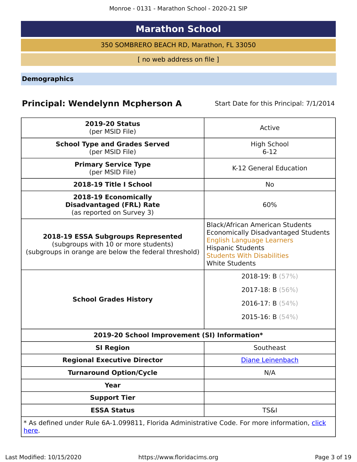# **Marathon School**

350 SOMBRERO BEACH RD, Marathon, FL 33050

[ no web address on file ]

<span id="page-2-0"></span>**Demographics**

# **Principal: Wendelynn Mcpherson A** Start Date for this Principal: 7/1/2014

| <b>2019-20 Status</b><br>(per MSID File)                                                                                            | Active                                                                                                                                                                                                             |
|-------------------------------------------------------------------------------------------------------------------------------------|--------------------------------------------------------------------------------------------------------------------------------------------------------------------------------------------------------------------|
| <b>School Type and Grades Served</b><br>(per MSID File)                                                                             | <b>High School</b><br>$6-12$                                                                                                                                                                                       |
| <b>Primary Service Type</b><br>(per MSID File)                                                                                      | K-12 General Education                                                                                                                                                                                             |
| 2018-19 Title I School                                                                                                              | No.                                                                                                                                                                                                                |
| 2018-19 Economically<br><b>Disadvantaged (FRL) Rate</b><br>(as reported on Survey 3)                                                | 60%                                                                                                                                                                                                                |
| 2018-19 ESSA Subgroups Represented<br>(subgroups with 10 or more students)<br>(subgroups in orange are below the federal threshold) | <b>Black/African American Students</b><br><b>Economically Disadvantaged Students</b><br><b>English Language Learners</b><br><b>Hispanic Students</b><br><b>Students With Disabilities</b><br><b>White Students</b> |
| <b>School Grades History</b>                                                                                                        | 2018-19: B (57%)<br>2017-18: B $(56\%)$<br>2016-17: B $(54%)$<br>2015-16: B $(54%)$                                                                                                                                |
| 2019-20 School Improvement (SI) Information*                                                                                        |                                                                                                                                                                                                                    |
| <b>SI Region</b>                                                                                                                    | Southeast                                                                                                                                                                                                          |
| <b>Regional Executive Director</b>                                                                                                  | Diane Leinenbach                                                                                                                                                                                                   |
| <b>Turnaround Option/Cycle</b>                                                                                                      | N/A                                                                                                                                                                                                                |
| <b>Year</b>                                                                                                                         |                                                                                                                                                                                                                    |
| <b>Support Tier</b>                                                                                                                 |                                                                                                                                                                                                                    |
| <b>ESSA Status</b>                                                                                                                  | <b>TS&amp;I</b>                                                                                                                                                                                                    |
| * As defined under Rule 6A-1.099811, Florida Administrative Code. For more information, click<br><u>here</u> .                      |                                                                                                                                                                                                                    |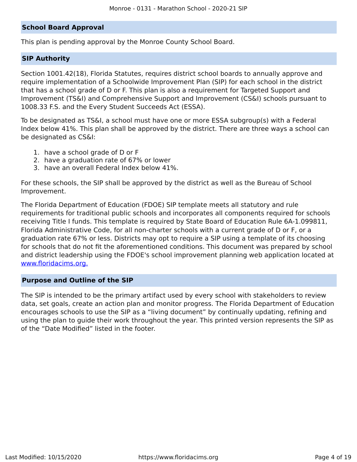#### **School Board Approval**

This plan is pending approval by the Monroe County School Board.

#### **SIP Authority**

Section 1001.42(18), Florida Statutes, requires district school boards to annually approve and require implementation of a Schoolwide Improvement Plan (SIP) for each school in the district that has a school grade of D or F. This plan is also a requirement for Targeted Support and Improvement (TS&I) and Comprehensive Support and Improvement (CS&I) schools pursuant to 1008.33 F.S. and the Every Student Succeeds Act (ESSA).

To be designated as TS&I, a school must have one or more ESSA subgroup(s) with a Federal Index below 41%. This plan shall be approved by the district. There are three ways a school can be designated as CS&I:

- 1. have a school grade of D or F
- 2. have a graduation rate of 67% or lower
- 3. have an overall Federal Index below 41%.

For these schools, the SIP shall be approved by the district as well as the Bureau of School Improvement.

The Florida Department of Education (FDOE) SIP template meets all statutory and rule requirements for traditional public schools and incorporates all components required for schools receiving Title I funds. This template is required by State Board of Education Rule 6A-1.099811, Florida Administrative Code, for all non-charter schools with a current grade of D or F, or a graduation rate 67% or less. Districts may opt to require a SIP using a template of its choosing for schools that do not fit the aforementioned conditions. This document was prepared by school and district leadership using the FDOE's school improvement planning web application located at [www.floridacims.org.](https://www.floridacims.org)

#### <span id="page-3-0"></span>**Purpose and Outline of the SIP**

The SIP is intended to be the primary artifact used by every school with stakeholders to review data, set goals, create an action plan and monitor progress. The Florida Department of Education encourages schools to use the SIP as a "living document" by continually updating, refining and using the plan to guide their work throughout the year. This printed version represents the SIP as of the "Date Modified" listed in the footer.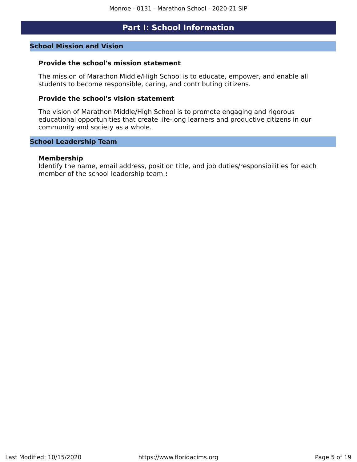# **Part I: School Information**

#### <span id="page-4-0"></span>**School Mission and Vision**

#### **Provide the school's mission statement**

The mission of Marathon Middle/High School is to educate, empower, and enable all students to become responsible, caring, and contributing citizens.

#### **Provide the school's vision statement**

The vision of Marathon Middle/High School is to promote engaging and rigorous educational opportunities that create life-long learners and productive citizens in our community and society as a whole.

#### **School Leadership Team**

#### **Membership**

Identify the name, email address, position title, and job duties/responsibilities for each member of the school leadership team.**:**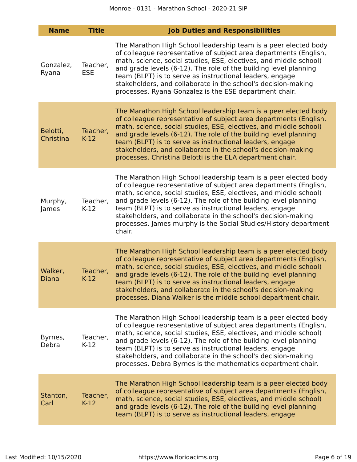| <b>Name</b>           | <b>Title</b>           | <b>Job Duties and Responsibilities</b>                                                                                                                                                                                                                                                                                                                                                                                                                                                   |
|-----------------------|------------------------|------------------------------------------------------------------------------------------------------------------------------------------------------------------------------------------------------------------------------------------------------------------------------------------------------------------------------------------------------------------------------------------------------------------------------------------------------------------------------------------|
| Gonzalez,<br>Ryana    | Teacher,<br><b>ESE</b> | The Marathon High School leadership team is a peer elected body<br>of colleague representative of subject area departments (English,<br>math, science, social studies, ESE, electives, and middle school)<br>and grade levels (6-12). The role of the building level planning<br>team (BLPT) is to serve as instructional leaders, engage<br>stakeholders, and collaborate in the school's decision-making<br>processes. Ryana Gonzalez is the ESE department chair.                     |
| Belotti,<br>Christina | Teacher,<br>$K-12$     | The Marathon High School leadership team is a peer elected body<br>of colleague representative of subject area departments (English,<br>math, science, social studies, ESE, electives, and middle school)<br>and grade levels (6-12). The role of the building level planning<br>team (BLPT) is to serve as instructional leaders, engage<br>stakeholders, and collaborate in the school's decision-making<br>processes. Christina Belotti is the ELA department chair.                  |
| Murphy,<br>James      | Teacher,<br>$K-12$     | The Marathon High School leadership team is a peer elected body<br>of colleague representative of subject area departments (English,<br>math, science, social studies, ESE, electives, and middle school)<br>and grade levels (6-12). The role of the building level planning<br>team (BLPT) is to serve as instructional leaders, engage<br>stakeholders, and collaborate in the school's decision-making<br>processes. James murphy is the Social Studies/History department<br>chair. |
| Walker,<br>Diana      | Teacher,<br>$K-12$     | The Marathon High School leadership team is a peer elected body<br>of colleague representative of subject area departments (English,<br>math, science, social studies, ESE, electives, and middle school)<br>and grade levels (6-12). The role of the building level planning<br>team (BLPT) is to serve as instructional leaders, engage<br>stakeholders, and collaborate in the school's decision-making<br>processes. Diana Walker is the middle school department chair.             |
| Byrnes,<br>Debra      | Teacher,<br>$K-12$     | The Marathon High School leadership team is a peer elected body<br>of colleague representative of subject area departments (English,<br>math, science, social studies, ESE, electives, and middle school)<br>and grade levels (6-12). The role of the building level planning<br>team (BLPT) is to serve as instructional leaders, engage<br>stakeholders, and collaborate in the school's decision-making<br>processes. Debra Byrnes is the mathematics department chair.               |
| Stanton,<br>Carl      | Teacher,<br>$K-12$     | The Marathon High School leadership team is a peer elected body<br>of colleague representative of subject area departments (English,<br>math, science, social studies, ESE, electives, and middle school)<br>and grade levels (6-12). The role of the building level planning<br>team (BLPT) is to serve as instructional leaders, engage                                                                                                                                                |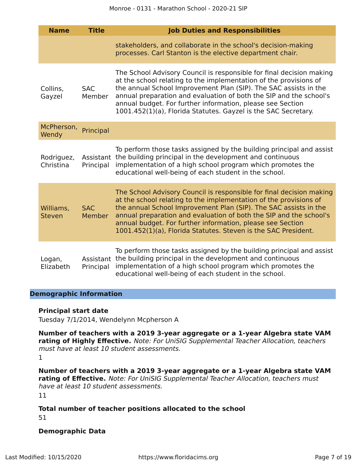| <b>Name</b>                | <b>Title</b>         | <b>Job Duties and Responsibilities</b>                                                                                                                                                                                                                                                                                                                                                                              |
|----------------------------|----------------------|---------------------------------------------------------------------------------------------------------------------------------------------------------------------------------------------------------------------------------------------------------------------------------------------------------------------------------------------------------------------------------------------------------------------|
|                            |                      | stakeholders, and collaborate in the school's decision-making<br>processes. Carl Stanton is the elective department chair.                                                                                                                                                                                                                                                                                          |
| Collins,<br>Gayzel         | <b>SAC</b><br>Member | The School Advisory Council is responsible for final decision making<br>at the school relating to the implementation of the provisions of<br>the annual School Improvement Plan (SIP). The SAC assists in the<br>annual preparation and evaluation of both the SIP and the school's<br>annual budget. For further information, please see Section<br>1001.452(1)(a), Florida Statutes. Gayzel is the SAC Secretary. |
| McPherson,<br>Wendy        | Principal            |                                                                                                                                                                                                                                                                                                                                                                                                                     |
| Rodriguez,<br>Christina    | Principal            | To perform those tasks assigned by the building principal and assist<br>Assistant the building principal in the development and continuous<br>implementation of a high school program which promotes the<br>educational well-being of each student in the school.                                                                                                                                                   |
| Williams,<br><b>Steven</b> | <b>SAC</b><br>Member | The School Advisory Council is responsible for final decision making<br>at the school relating to the implementation of the provisions of<br>the annual School Improvement Plan (SIP). The SAC assists in the<br>annual preparation and evaluation of both the SIP and the school's<br>annual budget. For further information, please see Section<br>1001.452(1)(a), Florida Statutes. Steven is the SAC President. |
| Logan,<br>Elizabeth        | Principal            | To perform those tasks assigned by the building principal and assist<br>Assistant the building principal in the development and continuous<br>implementation of a high school program which promotes the<br>educational well-being of each student in the school.                                                                                                                                                   |

#### **Demographic Information**

#### **Principal start date**

Tuesday 7/1/2014, Wendelynn Mcpherson A

**Number of teachers with a 2019 3-year aggregate or a 1-year Algebra state VAM rating of Highly Effective.** Note: For UniSIG Supplemental Teacher Allocation, teachers must have at least 10 student assessments.

1

**Number of teachers with a 2019 3-year aggregate or a 1-year Algebra state VAM rating of Effective.** Note: For UniSIG Supplemental Teacher Allocation, teachers must have at least 10 student assessments. 11

#### **Total number of teacher positions allocated to the school** 51

#### **Demographic Data**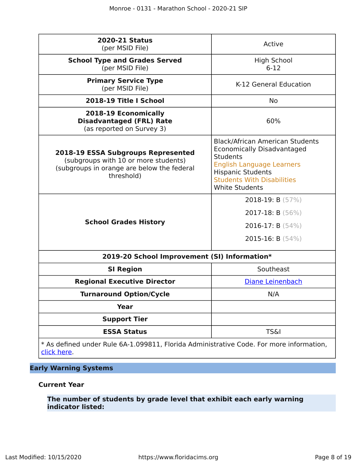| <b>2020-21 Status</b><br>(per MSID File)                                                                                                      | Active                                                                                                                                                                                                                |
|-----------------------------------------------------------------------------------------------------------------------------------------------|-----------------------------------------------------------------------------------------------------------------------------------------------------------------------------------------------------------------------|
| <b>School Type and Grades Served</b><br>(per MSID File)                                                                                       | <b>High School</b><br>$6 - 12$                                                                                                                                                                                        |
| <b>Primary Service Type</b><br>(per MSID File)                                                                                                | K-12 General Education                                                                                                                                                                                                |
| 2018-19 Title I School                                                                                                                        | <b>No</b>                                                                                                                                                                                                             |
| 2018-19 Economically<br><b>Disadvantaged (FRL) Rate</b><br>(as reported on Survey 3)                                                          | 60%                                                                                                                                                                                                                   |
| <b>2018-19 ESSA Subgroups Represented</b><br>(subgroups with 10 or more students)<br>(subgroups in orange are below the federal<br>threshold) | <b>Black/African American Students</b><br>Economically Disadvantaged<br><b>Students</b><br><b>English Language Learners</b><br><b>Hispanic Students</b><br><b>Students With Disabilities</b><br><b>White Students</b> |
| <b>School Grades History</b>                                                                                                                  | 2018-19: B $(57%)$<br>2017-18: B $(56\%)$<br>2016-17: B $(54%)$<br>2015-16: B $(54%)$                                                                                                                                 |
| 2019-20 School Improvement (SI) Information*                                                                                                  |                                                                                                                                                                                                                       |
| <b>SI Region</b>                                                                                                                              | Southeast                                                                                                                                                                                                             |
| <b>Regional Executive Director</b>                                                                                                            | Diane Leinenbach                                                                                                                                                                                                      |
| <b>Turnaround Option/Cycle</b>                                                                                                                | N/A                                                                                                                                                                                                                   |
| <b>Year</b>                                                                                                                                   |                                                                                                                                                                                                                       |
| <b>Support Tier</b>                                                                                                                           |                                                                                                                                                                                                                       |
| <b>ESSA Status</b>                                                                                                                            | <b>TS&amp;I</b>                                                                                                                                                                                                       |
| * As defined under Rule 6A-1.099811, Florida Administrative Code. For more information,                                                       |                                                                                                                                                                                                                       |

[click here](https://www.flrules.org/gateway/ruleNo.asp?id=6A-1.099811).

### **Early Warning Systems**

#### **Current Year**

**The number of students by grade level that exhibit each early warning indicator listed:**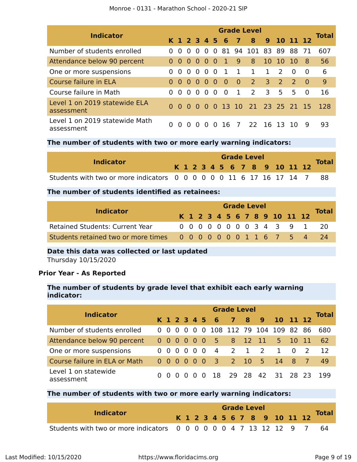| <b>Indicator</b>                             | <b>Grade Level</b> |          |                                     |                |                |          |                 |                |                              |                         |               |               |          |              |  |
|----------------------------------------------|--------------------|----------|-------------------------------------|----------------|----------------|----------|-----------------|----------------|------------------------------|-------------------------|---------------|---------------|----------|--------------|--|
|                                              |                    |          |                                     |                |                |          | K 1 2 3 4 5 6 7 |                | $\bf{8}$                     |                         |               | 9 10 11 12    |          | <b>Total</b> |  |
| Number of students enrolled                  |                    | $\Omega$ | $\Omega$                            | $\overline{0}$ | $\Omega$       |          |                 |                | 0 81 94 101 83 89 88         |                         |               |               | - 71     | 607          |  |
| Attendance below 90 percent                  |                    | - 0      |                                     | $000$          |                | - 0      | 41              | $\overline{9}$ | 8                            | 10 10                   |               | 10            | -8       | 56           |  |
| One or more suspensions                      |                    | $\Omega$ |                                     | 0 <sub>0</sub> | $\overline{0}$ | - 0      | - 1             | $\overline{1}$ | $\mathbf{1}$                 | $\mathbf{1}$            | $\mathcal{L}$ | $\Omega$      | $\Omega$ | 6            |  |
| Course failure in ELA                        | 0                  | 0        | $\begin{matrix} 0 & 0 \end{matrix}$ |                | $\Omega$       | - 0      | - 0             | $\overline{0}$ | $\overline{2}$               | $\overline{\mathbf{3}}$ | <sup>2</sup>  | $\mathcal{P}$ | - 0      | 9            |  |
| Course failure in Math                       | $\Omega$           | $\Omega$ | 0 <sub>0</sub>                      |                | $\Omega$       | $\Omega$ | $\Omega$        | $\mathbf{1}$   | 2                            | $\mathsf{B}$            | 5             | 5.            | $\Omega$ | 16           |  |
| Level 1 on 2019 statewide ELA<br>assessment  | 0                  | -0       |                                     |                |                |          |                 |                | 0 0 0 0 13 10 21 23 25 21 15 |                         |               |               |          | <b>128</b>   |  |
| Level 1 on 2019 statewide Math<br>assessment | 0                  | $\Omega$ | $\Omega$                            | $\Omega$       | <sup>n</sup>   | $\Omega$ | -16             | 7              | 22 16 13                     |                         |               | -10           | q        | 93           |  |

#### **The number of students with two or more early warning indicators:**

| <b>Indicator</b>                                                       |  |  |  |  | <b>Grade Level</b> |  |                              |              |
|------------------------------------------------------------------------|--|--|--|--|--------------------|--|------------------------------|--------------|
|                                                                        |  |  |  |  |                    |  | K 1 2 3 4 5 6 7 8 9 10 11 12 | <b>Total</b> |
| Students with two or more indicators 0 0 0 0 0 0 11 6 17 16 17 14 7 88 |  |  |  |  |                    |  |                              |              |

#### **The number of students identified as retainees:**

| <b>Indicator</b>                                                 |  | <b>Grade Level</b> |  |  |  |  |  |  |  |  |  |                              |                           |              |  |  |
|------------------------------------------------------------------|--|--------------------|--|--|--|--|--|--|--|--|--|------------------------------|---------------------------|--------------|--|--|
|                                                                  |  |                    |  |  |  |  |  |  |  |  |  | K 1 2 3 4 5 6 7 8 9 10 11 12 |                           | <b>Total</b> |  |  |
| <b>Retained Students: Current Year</b>                           |  |                    |  |  |  |  |  |  |  |  |  |                              | 0 0 0 0 0 0 0 0 3 4 3 9 1 | - 20         |  |  |
| Students retained two or more times 0 0 0 0 0 0 0 1 1 6 7 5 4 24 |  |                    |  |  |  |  |  |  |  |  |  |                              |                           |              |  |  |

#### **Date this data was collected or last updated**

Thursday 10/15/2020

#### **Prior Year - As Reported**

#### **The number of students by grade level that exhibit each early warning indicator:**

| <b>Indicator</b>                   | <b>Grade Level</b> |                                 |     |     |     |          |           |       |     |  |                              |             |     |              |  |
|------------------------------------|--------------------|---------------------------------|-----|-----|-----|----------|-----------|-------|-----|--|------------------------------|-------------|-----|--------------|--|
|                                    |                    |                                 |     |     |     |          |           |       |     |  | K 1 2 3 4 5 6 7 8 9 10 11 12 |             |     | <b>Total</b> |  |
| Number of students enrolled        |                    | $0\quad 0\quad 0\quad 0\quad 0$ |     |     |     |          |           |       |     |  | 0 108 112 79 104 109 82 86   |             |     | 680          |  |
| Attendance below 90 percent        |                    | 000000                          |     |     |     |          | 5 8 12 11 |       |     |  |                              | $5\quad 10$ | -11 | 62           |  |
| One or more suspensions            |                    | 0 <sub>0</sub>                  |     |     | 000 | - 0      | 4 2       |       | 1 2 |  | $\mathbf{1}$                 | $0\quad 2$  |     | 12           |  |
| Course failure in ELA or Math      |                    | 000000                          |     |     |     |          | 3 2 10 5  |       |     |  | 14 8 7                       |             |     | 49           |  |
| Level 1 on statewide<br>assessment |                    | 0 O                             | - 0 | റ റ |     | $\Omega$ | <b>18</b> | 29 28 |     |  | 42 31 28 23                  |             |     | 199          |  |

#### **The number of students with two or more early warning indicators:**

| <b>Indicator</b>                                                     |  |  |  |  |  | <b>Grade Level</b> |                              |  | <b>Total</b> |
|----------------------------------------------------------------------|--|--|--|--|--|--------------------|------------------------------|--|--------------|
|                                                                      |  |  |  |  |  |                    | K 1 2 3 4 5 6 7 8 9 10 11 12 |  |              |
| Students with two or more indicators 0 0 0 0 0 0 4 7 13 12 12 9 7 64 |  |  |  |  |  |                    |                              |  |              |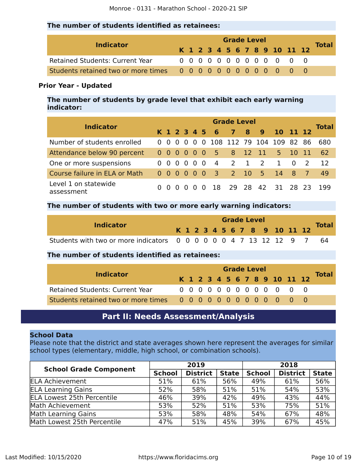#### **The number of students identified as retainees:**

| <b>Indicator</b>                       |  |  |  |  | <b>Grade Level</b> |  |                              |              |
|----------------------------------------|--|--|--|--|--------------------|--|------------------------------|--------------|
|                                        |  |  |  |  |                    |  | K 1 2 3 4 5 6 7 8 9 10 11 12 | <b>Total</b> |
| <b>Retained Students: Current Year</b> |  |  |  |  |                    |  | 0 0 0 0 0 0 0 0 0 0 0 0 0    |              |
|                                        |  |  |  |  |                    |  |                              |              |

#### **Prior Year - Updated**

**The number of students by grade level that exhibit each early warning indicator:**

| <b>Indicator</b>                   | <b>Grade Level</b> |          |  |                                                        |          |          |                    |              |              |                         |              |                |               |               |  |
|------------------------------------|--------------------|----------|--|--------------------------------------------------------|----------|----------|--------------------|--------------|--------------|-------------------------|--------------|----------------|---------------|---------------|--|
|                                    |                    |          |  |                                                        |          |          | K 1 2 3 4 5 6      | 78           |              | $9 -$                   | 10 11 12     |                |               | <b>Total</b>  |  |
| Number of students enrolled        |                    |          |  | $0\,0\,0\,0\,0$                                        |          | $\Omega$ | 108 112 79 104 109 |              |              |                         |              | -82            | -86           | 680           |  |
| Attendance below 90 percent        |                    |          |  | $\begin{array}{ccccccccc}\n0 & 0 & 0 & 0\n\end{array}$ | $\Omega$ | - 0      | $-5$               | 8 12 11      |              |                         | $5 -$        | 10 11          |               | <sup>62</sup> |  |
| One or more suspensions            | 0                  | - 0      |  | $0\quad 0\quad 0$                                      |          | - 0      | -4                 | <sup>2</sup> | $\mathbf{1}$ | $\overline{\mathbf{2}}$ | $\mathbf{1}$ | $\overline{0}$ | $\mathcal{L}$ | 12            |  |
| Course failure in ELA or Math      |                    | $0000$   |  |                                                        | - 0      | - 0      | $\overline{3}$     | 2 10 5       |              |                         | 14 8         |                |               | 49            |  |
| Level 1 on statewide<br>assessment | 0                  | $\Omega$ |  |                                                        |          | $\Omega$ | -18                | 29 28        |              |                         | 42 31 28 23  |                |               | 199           |  |

#### **The number of students with two or more early warning indicators:**

|                                                                   | <b>Grade Level</b> |  |  |  |  |  |  |  |  |  |                              |  |              |
|-------------------------------------------------------------------|--------------------|--|--|--|--|--|--|--|--|--|------------------------------|--|--------------|
| <b>Indicator</b>                                                  |                    |  |  |  |  |  |  |  |  |  | K 1 2 3 4 5 6 7 8 9 10 11 12 |  | <b>Total</b> |
| Students with two or more indicators 0 0 0 0 0 0 4 7 13 12 12 9 7 |                    |  |  |  |  |  |  |  |  |  |                              |  | -64          |

#### **The number of students identified as retainees:**

| <b>Indicator</b>                       |  | <b>Grade Level</b> |  |  |  |  |  |  |  |  |                              |              |
|----------------------------------------|--|--------------------|--|--|--|--|--|--|--|--|------------------------------|--------------|
|                                        |  |                    |  |  |  |  |  |  |  |  | K 1 2 3 4 5 6 7 8 9 10 11 12 | <b>Total</b> |
| <b>Retained Students: Current Year</b> |  |                    |  |  |  |  |  |  |  |  | 0 0 0 0 0 0 0 0 0 0 0 0 0    |              |
|                                        |  |                    |  |  |  |  |  |  |  |  |                              |              |

### **Part II: Needs Assessment/Analysis**

#### <span id="page-9-0"></span>**School Data**

Please note that the district and state averages shown here represent the averages for similar school types (elementary, middle, high school, or combination schools).

| <b>School Grade Component</b>     |               | 2019            |              | 2018          |                 |              |  |
|-----------------------------------|---------------|-----------------|--------------|---------------|-----------------|--------------|--|
|                                   | <b>School</b> | <b>District</b> | <b>State</b> | <b>School</b> | <b>District</b> | <b>State</b> |  |
| <b>ELA Achievement</b>            | 51%           | 61%             | 56%          | 49%           | 61%             | 56%          |  |
| <b>ELA Learning Gains</b>         | 52%           | 58%             | 51%          | 51%           | 54%             | 53%          |  |
| <b>ELA Lowest 25th Percentile</b> | 46%           | 39%             | 42%          | 49%           | 43%             | 44%          |  |
| Math Achievement                  | 53%           | 52%             | 51%          | 53%           | 75%             | 51%          |  |
| Math Learning Gains               | 53%           | 58%             | 48%          | 54%           | 67%             | 48%          |  |
| Math Lowest 25th Percentile       | 47%           | 51%             | 45%          | 39%           | 67%             | 45%          |  |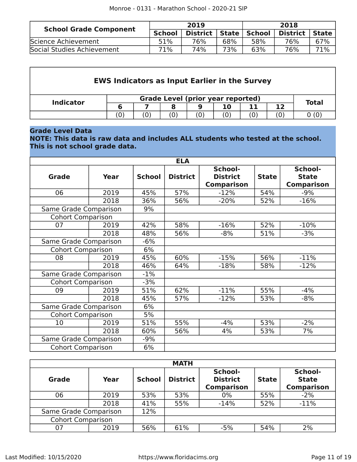| <b>School Grade Component</b> |               | 2019            |       | 2018   |                 |       |  |
|-------------------------------|---------------|-----------------|-------|--------|-----------------|-------|--|
|                               | <b>School</b> | <b>District</b> | State | School | <b>District</b> | State |  |
| Science Achievement           | 51%           | 76%             | 68%   | 58%    | 76%             | 67%   |  |
| Social Studies Achievement    | 71%           | 74%             | 73%   | 63%    | 76%             | 71%   |  |

| <b>EWS Indicators as Input Earlier in the Survey</b> |     |              |  |   |     |     |    |      |  |  |
|------------------------------------------------------|-----|--------------|--|---|-----|-----|----|------|--|--|
| <b>Indicator</b>                                     |     | <b>Total</b> |  |   |     |     |    |      |  |  |
|                                                      | 6   |              |  | 9 | 10  | 11  | 12 |      |  |  |
|                                                      | (0) | (0)          |  |   | (0) | (0) |    | 0(0) |  |  |

#### **Grade Level Data**

**NOTE: This data is raw data and includes ALL students who tested at the school. This is not school grade data.**

|                          |             |               | <b>ELA</b>      |                                                 |              |                                              |
|--------------------------|-------------|---------------|-----------------|-------------------------------------------------|--------------|----------------------------------------------|
| <b>Grade</b>             | <b>Year</b> | <b>School</b> | <b>District</b> | School-<br><b>District</b><br><b>Comparison</b> | <b>State</b> | School-<br><b>State</b><br><b>Comparison</b> |
| 06                       | 2019        | 45%           | 57%             | $-12%$                                          | 54%          | $-9%$                                        |
|                          | 2018        | 36%           | 56%             | $-20%$                                          | 52%          | $-16%$                                       |
| Same Grade Comparison    |             | 9%            |                 |                                                 |              |                                              |
| <b>Cohort Comparison</b> |             |               |                 |                                                 |              |                                              |
| 07                       | 2019        | 42%           | 58%             | $-16%$                                          | 52%          | $-10%$                                       |
|                          | 2018        | 48%           | 56%             | $-8%$                                           | 51%          | $-3%$                                        |
| Same Grade Comparison    |             | $-6%$         |                 |                                                 |              |                                              |
| <b>Cohort Comparison</b> |             | 6%            |                 |                                                 |              |                                              |
| 08                       | 2019        | 45%           | 60%             | $-15%$                                          | 56%          | $-11%$                                       |
|                          | 2018        | 46%           | 64%             | $-18%$                                          | 58%          | $-12%$                                       |
| Same Grade Comparison    |             | $-1%$         |                 |                                                 |              |                                              |
| <b>Cohort Comparison</b> |             | $-3%$         |                 |                                                 |              |                                              |
| 09                       | 2019        | 51%           | 62%             | $-11%$                                          | 55%          | $-4%$                                        |
|                          | 2018        | 45%           | 57%             | $-12%$                                          | 53%          | $-8%$                                        |
| Same Grade Comparison    |             | 6%            |                 |                                                 |              |                                              |
| <b>Cohort Comparison</b> |             | 5%            |                 |                                                 |              |                                              |
| 10                       | 2019        | 51%           | 55%             | $-4%$                                           | 53%          | $-2%$                                        |
|                          | 2018        | 60%           | 56%             | 4%                                              | 53%          | 7%                                           |
| Same Grade Comparison    |             | $-9%$         |                 |                                                 |              |                                              |
| <b>Cohort Comparison</b> |             | 6%            |                 |                                                 |              |                                              |

|                          |      |               | <b>MATH</b>     |                                                 |              |                                              |
|--------------------------|------|---------------|-----------------|-------------------------------------------------|--------------|----------------------------------------------|
| <b>Grade</b>             | Year | <b>School</b> | <b>District</b> | School-<br><b>District</b><br><b>Comparison</b> | <b>State</b> | School-<br><b>State</b><br><b>Comparison</b> |
| 06                       | 2019 | 53%           | 53%             | 0%                                              | 55%          | $-2%$                                        |
|                          | 2018 | 41%           | 55%             | $-14%$                                          | 52%          | $-11%$                                       |
| Same Grade Comparison    |      | 12%           |                 |                                                 |              |                                              |
| <b>Cohort Comparison</b> |      |               |                 |                                                 |              |                                              |
| 07                       | 2019 | 56%           | 61%             | $-5%$                                           | 54%          | 2%                                           |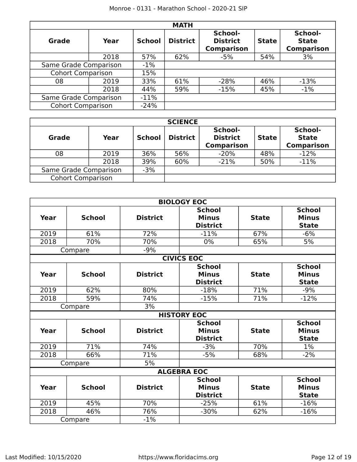|                          |      |               | <b>MATH</b>     |                                                 |              |                                              |
|--------------------------|------|---------------|-----------------|-------------------------------------------------|--------------|----------------------------------------------|
| Grade                    | Year | <b>School</b> | <b>District</b> | School-<br><b>District</b><br><b>Comparison</b> | <b>State</b> | School-<br><b>State</b><br><b>Comparison</b> |
|                          | 2018 | 57%           | 62%             | $-5%$                                           | 54%          | 3%                                           |
| Same Grade Comparison    |      | $-1\%$        |                 |                                                 |              |                                              |
| <b>Cohort Comparison</b> |      | 15%           |                 |                                                 |              |                                              |
| 08                       | 2019 | 33%           | 61%             | $-28%$                                          | 46%          | $-13%$                                       |
|                          | 2018 | 44%           | 59%             | $-15%$                                          | 45%          | $-1\%$                                       |
| Same Grade Comparison    |      | $-11\%$       |                 |                                                 |              |                                              |
| <b>Cohort Comparison</b> |      | $-24%$        |                 |                                                 |              |                                              |

|                          | <b>SCIENCE</b> |               |                 |                                                 |              |                                              |  |  |  |  |  |  |
|--------------------------|----------------|---------------|-----------------|-------------------------------------------------|--------------|----------------------------------------------|--|--|--|--|--|--|
| <b>Grade</b>             | Year           | <b>School</b> | <b>District</b> | School-<br><b>District</b><br><b>Comparison</b> | <b>State</b> | School-<br><b>State</b><br><b>Comparison</b> |  |  |  |  |  |  |
| 08                       | 2019           | 36%           | 56%             | $-20%$                                          | 48%          | $-12%$                                       |  |  |  |  |  |  |
|                          | 2018           | 39%           | 60%             | $-21%$                                          | 50%          | $-11%$                                       |  |  |  |  |  |  |
| Same Grade Comparison    |                | $-3%$         |                 |                                                 |              |                                              |  |  |  |  |  |  |
| <b>Cohort Comparison</b> |                |               |                 |                                                 |              |                                              |  |  |  |  |  |  |

|      |               |                 | <b>BIOLOGY EOC</b> |              |               |
|------|---------------|-----------------|--------------------|--------------|---------------|
|      |               |                 | <b>School</b>      |              | <b>School</b> |
| Year | <b>School</b> | <b>District</b> | <b>Minus</b>       | <b>State</b> | <b>Minus</b>  |
|      |               |                 | <b>District</b>    |              | <b>State</b>  |
| 2019 | 61%           | 72%             | $-11%$             | 67%          | $-6%$         |
| 2018 | 70%           | 70%             | 0%                 | 65%          | 5%            |
|      | Compare       | $-9%$           |                    |              |               |
|      |               |                 | <b>CIVICS EOC</b>  |              |               |
|      |               |                 | <b>School</b>      |              | <b>School</b> |
| Year | <b>School</b> | <b>District</b> | <b>Minus</b>       | <b>State</b> | <b>Minus</b>  |
|      |               |                 | <b>District</b>    |              | <b>State</b>  |
| 2019 | 62%           | 80%             | $-18%$             | 71%          | $-9%$         |
| 2018 | 59%           | 74%             | $-15%$             | 71%          | $-12%$        |
|      | Compare       | 3%              |                    |              |               |
|      |               |                 | <b>HISTORY EOC</b> |              |               |
|      |               |                 | <b>School</b>      |              | <b>School</b> |
| Year | <b>School</b> | <b>District</b> | <b>Minus</b>       | <b>State</b> | <b>Minus</b>  |
|      |               |                 | <b>District</b>    |              | <b>State</b>  |
| 2019 | 71%           | 74%             | $-3%$              | 70%          | 1%            |
| 2018 | 66%           | 71%             | $-5%$              | 68%          | $-2%$         |
|      | Compare       | 5%              |                    |              |               |
|      |               |                 | <b>ALGEBRA EOC</b> |              |               |
|      |               |                 | <b>School</b>      |              | <b>School</b> |
| Year | <b>School</b> | <b>District</b> | <b>Minus</b>       | <b>State</b> | <b>Minus</b>  |
|      |               |                 | <b>District</b>    |              | <b>State</b>  |
| 2019 | 45%           | 70%             | $-25%$             | 61%          | $-16%$        |
| 2018 | 46%           | 76%             | $-30%$             | 62%          | $-16%$        |
|      | Compare       | $-1%$           |                    |              |               |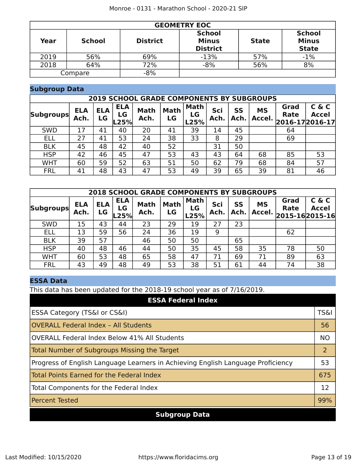|      | <b>GEOMETRY EOC</b> |                 |                                                  |              |                                               |  |  |  |  |  |  |  |
|------|---------------------|-----------------|--------------------------------------------------|--------------|-----------------------------------------------|--|--|--|--|--|--|--|
| Year | <b>School</b>       | <b>District</b> | <b>School</b><br><b>Minus</b><br><b>District</b> | <b>State</b> | <b>School</b><br><b>Minus</b><br><b>State</b> |  |  |  |  |  |  |  |
| 2019 | 56%                 | 69%             | $-13%$                                           | 57%          | $-1%$                                         |  |  |  |  |  |  |  |
| 2018 | 64%                 | 72%             | $-8%$                                            | 56%          | 8%                                            |  |  |  |  |  |  |  |
|      | Compare             | $-8%$           |                                                  |              |                                               |  |  |  |  |  |  |  |

#### **Subgroup Data**

|                  | <b>2019 SCHOOL GRADE COMPONENTS BY SUBGROUPS</b> |                  |                          |                     |                   |                           |             |            |                     |                                            |                       |  |
|------------------|--------------------------------------------------|------------------|--------------------------|---------------------|-------------------|---------------------------|-------------|------------|---------------------|--------------------------------------------|-----------------------|--|
| <b>Subgroups</b> | <b>ELA</b><br>Ach.                               | <b>ELA</b><br>LG | <b>ELA</b><br>LG<br>L25% | <b>Math</b><br>Ach. | <b>Math</b><br>LG | <b>Math</b><br>LG<br>L25% | Sci<br>Ach. | SS<br>Ach. | <b>MS</b><br>Accel. | Grad<br><b>Rate</b><br>$ 2016-17 2016-17 $ | C & C<br><b>Accel</b> |  |
| <b>SWD</b>       | 17                                               | 41               | 40                       | 20                  | 41                | 39                        | 14          | 45         |                     | 64                                         |                       |  |
| <b>ELL</b>       | 27                                               | 41               | 53                       | 24                  | 38                | 33                        | 8           | 29         |                     | 69                                         |                       |  |
| <b>BLK</b>       | 45                                               | 48               | 42                       | 40                  | 52                |                           | 31          | 50         |                     |                                            |                       |  |
| <b>HSP</b>       | 42                                               | 46               | 45                       | 47                  | 53                | 43                        | 43          | 64         | 68                  | 85                                         | 53                    |  |
| <b>WHT</b>       | 60                                               | 59               | 52                       | 63                  | 51                | 50                        | 62          | 79         | 68                  | 84                                         | 57                    |  |
| <b>FRL</b>       | 41                                               | 48               | 43                       | 47                  | 53                | 49                        | 39          | 65         | 39                  | 81                                         | 46                    |  |

| <b>2018 SCHOOL GRADE COMPONENTS BY SUBGROUPS</b> |                    |                  |                          |                     |                   |                           |             |            |                     |                                             |                       |
|--------------------------------------------------|--------------------|------------------|--------------------------|---------------------|-------------------|---------------------------|-------------|------------|---------------------|---------------------------------------------|-----------------------|
| <b>Subgroups</b>                                 | <b>ELA</b><br>Ach. | <b>ELA</b><br>LG | <b>ELA</b><br>LG<br>L25% | <b>Math</b><br>Ach. | <b>Math</b><br>LG | <b>Math</b><br>LG<br>L25% | Sci<br>Ach. | SS<br>Ach. | <b>MS</b><br>Accel. | Grad<br><b>Rate</b><br>$2015 - 162015 - 16$ | C & C<br><b>Accel</b> |
| <b>SWD</b>                                       | 15                 | 43               | 44                       | 23                  | 29                | 19                        | 27          | 23         |                     |                                             |                       |
| <b>ELL</b>                                       | 13                 | 59               | 56                       | 24                  | 36                | 19                        | 9           |            |                     | 62                                          |                       |
| <b>BLK</b>                                       | 39                 | 57               |                          | 46                  | 50                | 50                        |             | 65         |                     |                                             |                       |
| <b>HSP</b>                                       | 40                 | 48               | 46                       | 44                  | 50                | 35                        | 45          | 58         | 35                  | 78                                          | 50                    |
| <b>WHT</b>                                       | 60                 | 53               | 48                       | 65                  | 58                | 47                        | 71          | 69         | 71                  | 89                                          | 63                    |
| <b>FRL</b>                                       | 43                 | 49               | 48                       | 49                  | 53                | 38                        | 51          | 61         | 44                  | 74                                          | 38                    |

### **ESSA Data**

This data has been updated for the 2018-19 school year as of 7/16/2019.

| <b>ESSA Federal Index</b>                                                       |                 |
|---------------------------------------------------------------------------------|-----------------|
| ESSA Category (TS&I or CS&I)                                                    | <b>TS&amp;I</b> |
| <b>OVERALL Federal Index - All Students</b>                                     | 56              |
| <b>OVERALL Federal Index Below 41% All Students</b>                             | <b>NO</b>       |
| Total Number of Subgroups Missing the Target                                    | $\overline{2}$  |
| Progress of English Language Learners in Achieving English Language Proficiency | 53              |
| Total Points Earned for the Federal Index                                       | 675             |
| Total Components for the Federal Index                                          | 12              |
| <b>Percent Tested</b>                                                           | 99%             |
| <b>Subgroup Data</b>                                                            |                 |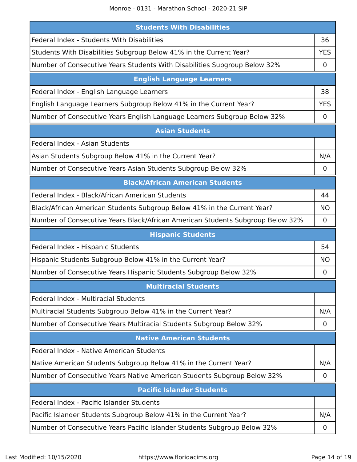Monroe - 0131 - Marathon School - 2020-21 SIP

| <b>Students With Disabilities</b>                                              |             |
|--------------------------------------------------------------------------------|-------------|
| Federal Index - Students With Disabilities                                     | 36          |
| Students With Disabilities Subgroup Below 41% in the Current Year?             | <b>YES</b>  |
| Number of Consecutive Years Students With Disabilities Subgroup Below 32%      | 0           |
| <b>English Language Learners</b>                                               |             |
| Federal Index - English Language Learners                                      | 38          |
| English Language Learners Subgroup Below 41% in the Current Year?              | <b>YES</b>  |
| Number of Consecutive Years English Language Learners Subgroup Below 32%       | $\mathbf 0$ |
| <b>Asian Students</b>                                                          |             |
| Federal Index - Asian Students                                                 |             |
| Asian Students Subgroup Below 41% in the Current Year?                         | N/A         |
| Number of Consecutive Years Asian Students Subgroup Below 32%                  | 0           |
| <b>Black/African American Students</b>                                         |             |
| Federal Index - Black/African American Students                                | 44          |
| Black/African American Students Subgroup Below 41% in the Current Year?        | <b>NO</b>   |
| Number of Consecutive Years Black/African American Students Subgroup Below 32% | 0           |
| <b>Hispanic Students</b>                                                       |             |
| Federal Index - Hispanic Students                                              | 54          |
| Hispanic Students Subgroup Below 41% in the Current Year?                      | ΝO          |
| Number of Consecutive Years Hispanic Students Subgroup Below 32%               | 0           |
| <b>Multiracial Students</b>                                                    |             |
| Federal Index - Multiracial Students                                           |             |
|                                                                                |             |
| Multiracial Students Subgroup Below 41% in the Current Year?                   | N/A         |
| Number of Consecutive Years Multiracial Students Subgroup Below 32%            | $\mathbf 0$ |
| <b>Native American Students</b>                                                |             |
| Federal Index - Native American Students                                       |             |
| Native American Students Subgroup Below 41% in the Current Year?               | N/A         |
| Number of Consecutive Years Native American Students Subgroup Below 32%        | 0           |
| <b>Pacific Islander Students</b>                                               |             |
| Federal Index - Pacific Islander Students                                      |             |
| Pacific Islander Students Subgroup Below 41% in the Current Year?              | N/A         |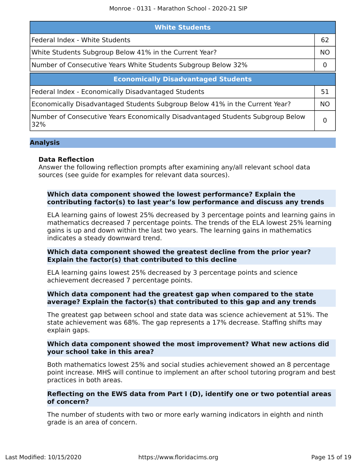| <b>White Students</b>                                                                 |           |  |  |  |
|---------------------------------------------------------------------------------------|-----------|--|--|--|
| Federal Index - White Students                                                        |           |  |  |  |
| White Students Subgroup Below 41% in the Current Year?                                | <b>NO</b> |  |  |  |
| Number of Consecutive Years White Students Subgroup Below 32%                         |           |  |  |  |
| <b>Economically Disadvantaged Students</b>                                            |           |  |  |  |
| Federal Index - Economically Disadvantaged Students                                   | 51        |  |  |  |
| Economically Disadvantaged Students Subgroup Below 41% in the Current Year?           | <b>NO</b> |  |  |  |
| Number of Consecutive Years Economically Disadvantaged Students Subgroup Below<br>32% |           |  |  |  |

#### **Analysis**

#### **Data Reflection**

Answer the following reflection prompts after examining any/all relevant school data sources (see guide for examples for relevant data sources).

#### **Which data component showed the lowest performance? Explain the contributing factor(s) to last year's low performance and discuss any trends**

ELA learning gains of lowest 25% decreased by 3 percentage points and learning gains in mathematics decreased 7 percentage points. The trends of the ELA lowest 25% learning gains is up and down within the last two years. The learning gains in mathematics indicates a steady downward trend.

#### **Which data component showed the greatest decline from the prior year? Explain the factor(s) that contributed to this decline**

ELA learning gains lowest 25% decreased by 3 percentage points and science achievement decreased 7 percentage points.

#### **Which data component had the greatest gap when compared to the state average? Explain the factor(s) that contributed to this gap and any trends**

The greatest gap between school and state data was science achievement at 51%. The state achievement was 68%. The gap represents a 17% decrease. Staffing shifts may explain gaps.

#### **Which data component showed the most improvement? What new actions did your school take in this area?**

Both mathematics lowest 25% and social studies achievement showed an 8 percentage point increase. MHS will continue to implement an after school tutoring program and best practices in both areas.

#### **Reflecting on the EWS data from Part I (D), identify one or two potential areas of concern?**

The number of students with two or more early warning indicators in eighth and ninth grade is an area of concern.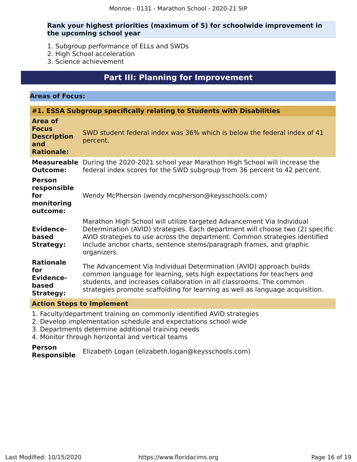#### **Rank your highest priorities (maximum of 5) for schoolwide improvement in the upcoming school year**

- 1. Subgroup performance of ELLs and SWDs
- 2. High School acceleration
- 3. Science achievement

# **Part III: Planning for Improvement**

#### <span id="page-15-0"></span>**Areas of Focus:**

# **#1. ESSA Subgroup specifically relating to Students with Disabilities**

| Area of<br><b>Focus</b><br><b>Description</b><br>and<br><b>Rationale:</b> | SWD student federal index was 36% which is below the federal index of 41<br>percent.                                                                                                                                                                                                                                       |
|---------------------------------------------------------------------------|----------------------------------------------------------------------------------------------------------------------------------------------------------------------------------------------------------------------------------------------------------------------------------------------------------------------------|
| <b>Measureable</b><br><b>Outcome:</b>                                     | During the 2020-2021 school year Marathon High School will increase the<br>federal index scores for the SWD subgroup from 36 percent to 42 percent.                                                                                                                                                                        |
| <b>Person</b><br>responsible<br>for<br>monitoring<br>outcome:             | Wendy McPherson (wendy.mcpherson@keysschools.com)                                                                                                                                                                                                                                                                          |
| <b>Evidence-</b><br>based<br><b>Strategy:</b>                             | Marathon High School will utilize targeted Advancement Via Individual<br>Determination (AVID) strategies. Each department will choose two (2) specific<br>AVID strategies to use across the department. Common strategies identified<br>include anchor charts, sentence stems/paragraph frames, and graphic<br>organizers. |
| <b>Rationale</b><br>for<br><b>Evidence-</b><br>based<br><b>Strategy:</b>  | The Advancement Via Individual Determination (AVID) approach builds<br>common language for learning, sets high expectations for teachers and<br>students, and increases collaboration in all classrooms. The common<br>strategies promote scaffolding for learning as well as language acquisition.                        |
| <b>Action Steps to Implement</b>                                          |                                                                                                                                                                                                                                                                                                                            |

1. Faculty/department training on commonly identified AVID strategies

- 2. Develop implementation schedule and expectations school wide
- 3. Departments determine additional training needs
- 4. Monitor through horizontal and vertical teams

#### **Person Responsible** Elizabeth Logan (elizabeth.logan@keysschools.com)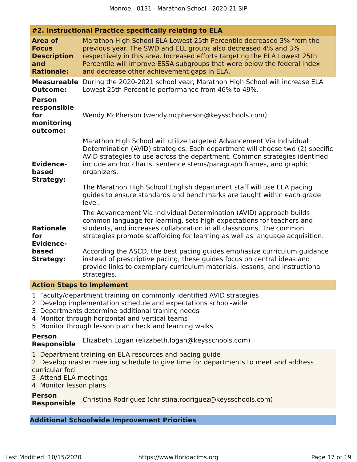|                                                                                  | #2. Instructional Practice specifically relating to ELA                                                                                                                                                                                                                                                                                          |
|----------------------------------------------------------------------------------|--------------------------------------------------------------------------------------------------------------------------------------------------------------------------------------------------------------------------------------------------------------------------------------------------------------------------------------------------|
| <b>Area of</b><br><b>Focus</b><br><b>Description</b><br>and<br><b>Rationale:</b> | Marathon High School ELA Lowest 25th Percentile decreased 3% from the<br>previous year. The SWD and ELL groups also decreased 4% and 3%<br>respectively in this area. Increased efforts targeting the ELA Lowest 25th<br>Percentile will improve ESSA subgroups that were below the federal index<br>and decrease other achievement gaps in ELA. |
| <b>Measureable</b><br><b>Outcome:</b>                                            | During the 2020-2021 school year, Marathon High School will increase ELA<br>Lowest 25th Percentile performance from 46% to 49%.                                                                                                                                                                                                                  |
| <b>Person</b><br>responsible<br>for<br>monitoring<br>outcome:                    | Wendy McPherson (wendy.mcpherson@keysschools.com)                                                                                                                                                                                                                                                                                                |
| <b>Evidence-</b><br>based<br><b>Strategy:</b>                                    | Marathon High School will utilize targeted Advancement Via Individual<br>Determination (AVID) strategies. Each department will choose two (2) specific<br>AVID strategies to use across the department. Common strategies identified<br>include anchor charts, sentence stems/paragraph frames, and graphic<br>organizers.                       |
|                                                                                  | The Marathon High School English department staff will use ELA pacing<br>guides to ensure standards and benchmarks are taught within each grade<br>level.                                                                                                                                                                                        |
| <b>Rationale</b><br>for<br><b>Evidence-</b>                                      | The Advancement Via Individual Determination (AVID) approach builds<br>common language for learning, sets high expectations for teachers and<br>students, and increases collaboration in all classrooms. The common<br>strategies promote scaffolding for learning as well as language acquisition.                                              |
| based<br><b>Strategy:</b>                                                        | According the ASCD, the best pacing guides emphasize curriculum guidance<br>instead of prescriptive pacing; these guides focus on central ideas and<br>provide links to exemplary curriculum materials, lessons, and instructional<br>strategies.                                                                                                |
|                                                                                  |                                                                                                                                                                                                                                                                                                                                                  |

#### **Action Steps to Implement**

- 1. Faculty/department training on commonly identified AVID strategies
- 2. Develop implementation schedule and expectations school-wide
- 3. Departments determine additional training needs
- 4. Monitor through horizontal and vertical teams
- 5. Monitor through lesson plan check and learning walks

#### **Person Responsible** Elizabeth Logan (elizabeth.logan@keysschools.com)

- 1. Department training on ELA resources and pacing guide
- 2. Develop master meeting schedule to give time for departments to meet and address curricular foci
- 3. Attend ELA meetings
- 4. Monitor lesson plans

**Person Responsible** Christina Rodriguez (christina.rodriguez@keysschools.com)

#### **Additional Schoolwide Improvement Priorities**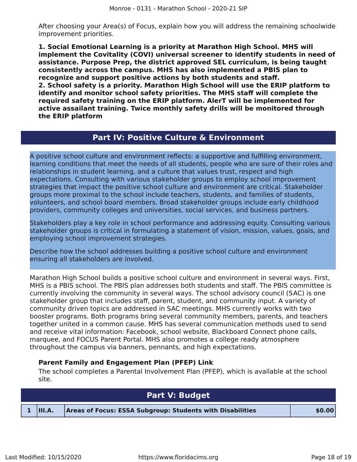After choosing your Area(s) of Focus, explain how you will address the remaining schoolwide improvement priorities.

**1. Social Emotional Learning is a priority at Marathon High School. MHS will implement the Covitality (COVI) universal screener to identify students in need of assistance. Purpose Prep, the district approved SEL curriculum, is being taught consistently across the campus. MHS has also implemented a PBIS plan to recognize and support positive actions by both students and staff. 2. School safety is a priority. Marathon High School will use the ERIP platform to identify and monitor school safety priorities. The MHS staff will complete the required safety training on the ERIP platform. AlerT will be implemented for active assailant training. Twice monthly safety drills will be monitored through the ERIP platform**

# **Part IV: Positive Culture & Environment**

<span id="page-17-0"></span>A positive school culture and environment reflects: a supportive and fulfilling environment, learning conditions that meet the needs of all students, people who are sure of their roles and relationships in student learning, and a culture that values trust, respect and high expectations. Consulting with various stakeholder groups to employ school improvement strategies that impact the positive school culture and environment are critical. Stakeholder groups more proximal to the school include teachers, students, and families of students, volunteers, and school board members. Broad stakeholder groups include early childhood providers, community colleges and universities, social services, and business partners.

Stakeholders play a key role in school performance and addressing equity. Consulting various stakeholder groups is critical in formulating a statement of vision, mission, values, goals, and employing school improvement strategies.

Describe how the school addresses building a positive school culture and environment ensuring all stakeholders are involved.

Marathon High School builds a positive school culture and environment in several ways. First, MHS is a PBIS school. The PBIS plan addresses both students and staff. The PBIS committee is currently involving the community in several ways. The school advisory council (SAC) is one stakeholder group that includes staff, parent, student, and community input. A variety of community driven topics are addressed in SAC meetings. MHS currently works with two booster programs. Both programs bring several community members, parents, and teachers together united in a common cause. MHS has several communication methods used to send and receive vital information: Facebook, school website, Blackboard Connect phone calls, marquee, and FOCUS Parent Portal. MHS also promotes a college ready atmosphere throughout the campus via banners, pennants, and high expectations.

#### **Parent Family and Engagement Plan (PFEP) Link**

The school completes a Parental Involvement Plan (PFEP), which is available at the school site.

<span id="page-17-1"></span>

| <b>Part V: Budget</b> |                                                           |        |  |  |  |
|-----------------------|-----------------------------------------------------------|--------|--|--|--|
| $1$  III.A.           | Areas of Focus: ESSA Subgroup: Students with Disabilities | \$0.00 |  |  |  |